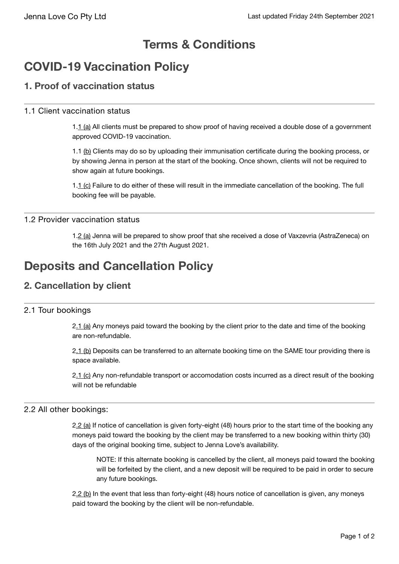# **Terms & Conditions**

# **COVID-19 Vaccination Policy**

# **1. Proof of vaccination status**

### 1.1 Client vaccination status

1.1 (a) All clients must be prepared to show proof of having received a double dose of a government approved COVID-19 vaccination.

1.1 (b) Clients may do so by uploading their immunisation certificate during the booking process, or by showing Jenna in person at the start of the booking. Once shown, clients will not be required to show again at future bookings.

1.1 (c) Failure to do either of these will result in the immediate cancellation of the booking. The full booking fee will be payable.

### 1.2 Provider vaccination status

1.2 (a) Jenna will be prepared to show proof that she received a dose of Vaxzevria (AstraZeneca) on the 16th July 2021 and the 27th August 2021.

# **Deposits and Cancellation Policy**

## **2. Cancellation by client**

## 2.1 Tour bookings

2.1 (a) Any moneys paid toward the booking by the client prior to the date and time of the booking are non-refundable.

2.1 (b) Deposits can be transferred to an alternate booking time on the SAME tour providing there is space available.

2.1 (c) Any non-refundable transport or accomodation costs incurred as a direct result of the booking will not be refundable

#### 2.2 All other bookings:

2.2 (a) If notice of cancellation is given forty-eight (48) hours prior to the start time of the booking any moneys paid toward the booking by the client may be transferred to a new booking within thirty (30) days of the original booking time, subject to Jenna Love's availability.

NOTE: If this alternate booking is cancelled by the client, all moneys paid toward the booking will be forfeited by the client, and a new deposit will be required to be paid in order to secure any future bookings.

2.2 (b) In the event that less than forty-eight (48) hours notice of cancellation is given, any moneys paid toward the booking by the client will be non-refundable.